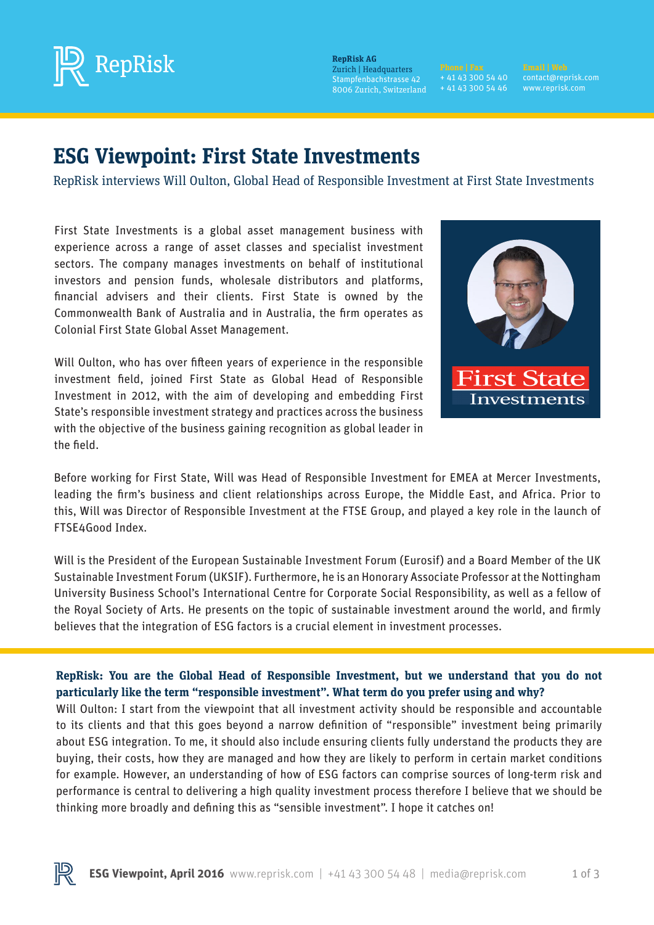

 $\mathbf{RepRisk}\ \mathbf{AG}$ Zurich | Headquarters Stampfenbachstrasse 42 8006 Zurich, Switzerland

**Phone | Fax** + 41 43 300 54 46 + 41 43 300 54 40 + 41 43 300 54 46

**Email | Web** contact@reprisk.com www.reprisk.com

# **ESG Viewpoint: First State Investments**

RepRisk interviews Will Oulton, Global Head of Responsible Investment at First State Investments

First State Investments is a global asset management business with experience across a range of asset classes and specialist investment sectors. The company manages investments on behalf of institutional investors and pension funds, wholesale distributors and platforms, financial advisers and their clients. First State is owned by the Commonwealth Bank of Australia and in Australia, the firm operates as Colonial First State Global Asset Management.

Will Oulton, who has over fifteen years of experience in the responsible investment field, joined First State as Global Head of Responsible Investment in 2012, with the aim of developing and embedding First State's responsible investment strategy and practices across the business with the objective of the business gaining recognition as global leader in the field.



Before working for First State, Will was Head of Responsible Investment for EMEA at Mercer Investments, leading the firm's business and client relationships across Europe, the Middle East, and Africa. Prior to this, Will was Director of Responsible Investment at the FTSE Group, and played a key role in the launch of FTSE4Good Index.

Will is the President of the European Sustainable Investment Forum (Eurosif) and a Board Member of the UK Sustainable Investment Forum (UKSIF). Furthermore, he is an Honorary Associate Professor at the Nottingham University Business School's International Centre for Corporate Social Responsibility, as well as a fellow of the Royal Society of Arts. He presents on the topic of sustainable investment around the world, and firmly believes that the integration of ESG factors is a crucial element in investment processes.

## **RepRisk: You are the Global Head of Responsible Investment, but we understand that you do not particularly like the term "responsible investment". What term do you prefer using and why?**

Will Oulton: I start from the viewpoint that all investment activity should be responsible and accountable to its clients and that this goes beyond a narrow definition of "responsible" investment being primarily about ESG integration. To me, it should also include ensuring clients fully understand the products they are buying, their costs, how they are managed and how they are likely to perform in certain market conditions for example. However, an understanding of how of ESG factors can comprise sources of long-term risk and performance is central to delivering a high quality investment process therefore I believe that we should be thinking more broadly and defining this as "sensible investment". I hope it catches on!

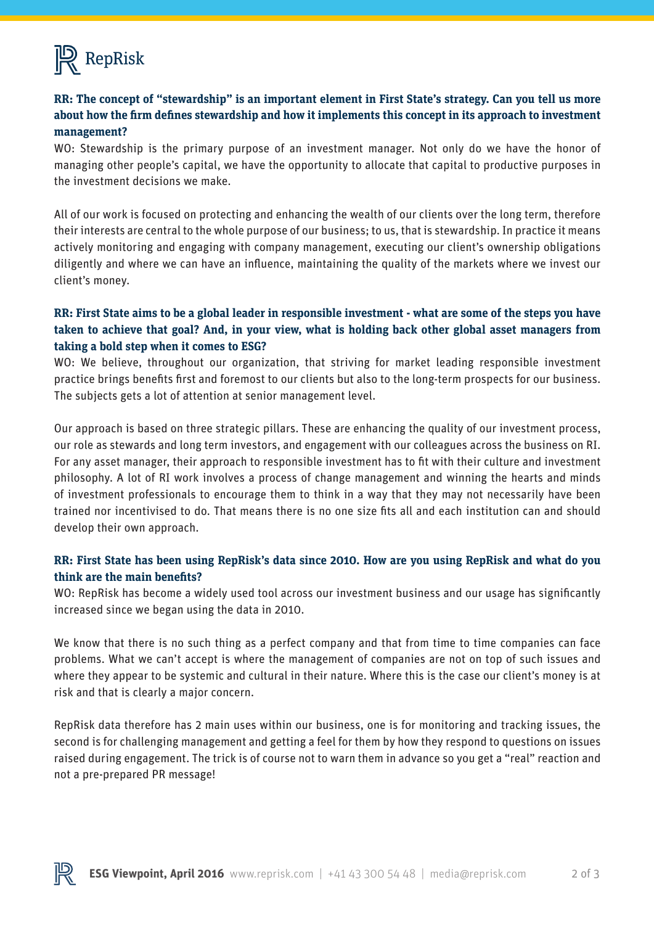

## **RR: The concept of "stewardship" is an important element in First State's strategy. Can you tell us more about how the firm defines stewardship and how it implements this concept in its approach to investment management?**

WO: Stewardship is the primary purpose of an investment manager. Not only do we have the honor of managing other people's capital, we have the opportunity to allocate that capital to productive purposes in the investment decisions we make.

All of our work is focused on protecting and enhancing the wealth of our clients over the long term, therefore their interests are central to the whole purpose of our business; to us, that is stewardship. In practice it means actively monitoring and engaging with company management, executing our client's ownership obligations diligently and where we can have an influence, maintaining the quality of the markets where we invest our client's money.

#### **RR: First State aims to be a global leader in responsible investment - what are some of the steps you have taken to achieve that goal? And, in your view, what is holding back other global asset managers from taking a bold step when it comes to ESG?**

WO: We believe, throughout our organization, that striving for market leading responsible investment practice brings benefits first and foremost to our clients but also to the long-term prospects for our business. The subjects gets a lot of attention at senior management level.

Our approach is based on three strategic pillars. These are enhancing the quality of our investment process, our role as stewards and long term investors, and engagement with our colleagues across the business on RI. For any asset manager, their approach to responsible investment has to fit with their culture and investment philosophy. A lot of RI work involves a process of change management and winning the hearts and minds of investment professionals to encourage them to think in a way that they may not necessarily have been trained nor incentivised to do. That means there is no one size fits all and each institution can and should develop their own approach.

#### **RR: First State has been using RepRisk's data since 2010. How are you using RepRisk and what do you think are the main benefits?**

WO: RepRisk has become a widely used tool across our investment business and our usage has significantly increased since we began using the data in 2010.

We know that there is no such thing as a perfect company and that from time to time companies can face problems. What we can't accept is where the management of companies are not on top of such issues and where they appear to be systemic and cultural in their nature. Where this is the case our client's money is at risk and that is clearly a major concern.

RepRisk data therefore has 2 main uses within our business, one is for monitoring and tracking issues, the second is for challenging management and getting a feel for them by how they respond to questions on issues raised during engagement. The trick is of course not to warn them in advance so you get a "real" reaction and not a pre-prepared PR message!